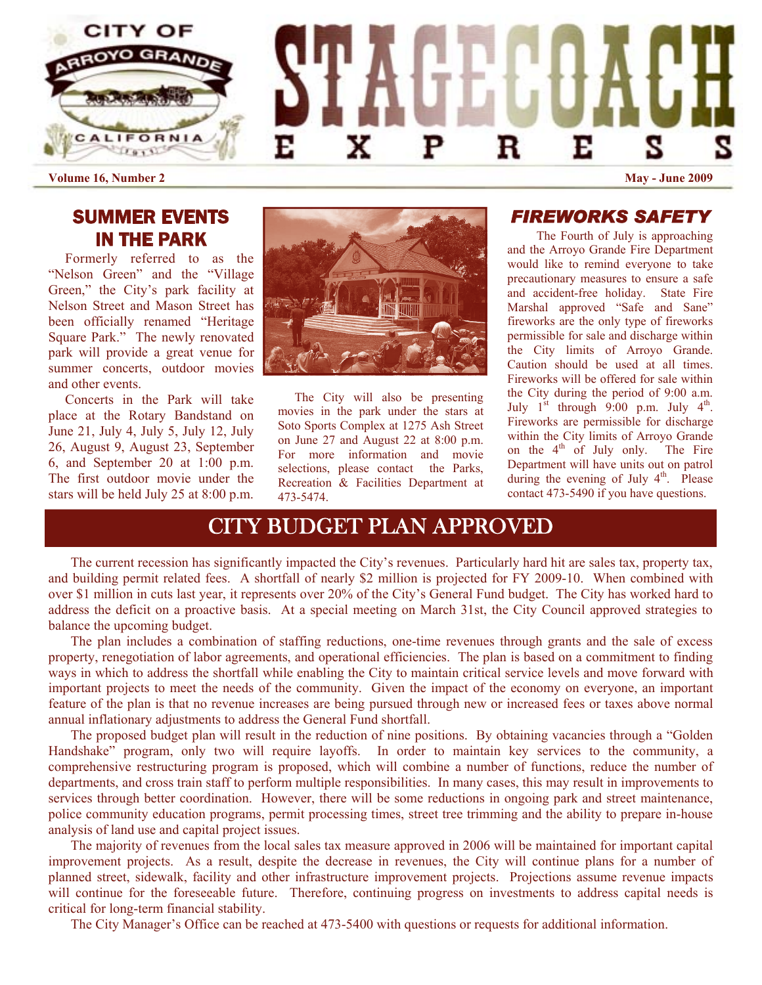

# SUMMER EVENTS IN THE PARK

Formerly referred to as the "Nelson Green" and the "Village Green," the City's park facility at Nelson Street and Mason Street has been officially renamed "Heritage Square Park." The newly renovated park will provide a great venue for summer concerts, outdoor movies and other events.

 Concerts in the Park will take place at the Rotary Bandstand on June 21, July 4, July 5, July 12, July 26, August 9, August 23, September 6, and September 20 at 1:00 p.m. The first outdoor movie under the stars will be held July 25 at 8:00 p.m.



The City will also be presenting movies in the park under the stars at Soto Sports Complex at 1275 Ash Street on June 27 and August 22 at 8:00 p.m. For more information and movie selections, please contact the Parks, Recreation & Facilities Department at 473-5474.

*FIREWORKS SAFETY*

The Fourth of July is approaching and the Arroyo Grande Fire Department would like to remind everyone to take precautionary measures to ensure a safe and accident-free holiday. State Fire Marshal approved "Safe and Sane" fireworks are the only type of fireworks permissible for sale and discharge within the City limits of Arroyo Grande. Caution should be used at all times. Fireworks will be offered for sale within the City during the period of 9:00 a.m. July  $1^{st}$  through 9:00 p.m. July  $4^{th}$ . Fireworks are permissible for discharge within the City limits of Arroyo Grande on the  $4<sup>th</sup>$  of July only. The Fire Department will have units out on patrol during the evening of July  $4<sup>th</sup>$ . Please contact 473-5490 if you have questions.

# CITY BUDGET PLAN APPROVED

The current recession has significantly impacted the City's revenues. Particularly hard hit are sales tax, property tax, and building permit related fees. A shortfall of nearly \$2 million is projected for FY 2009-10. When combined with over \$1 million in cuts last year, it represents over 20% of the City's General Fund budget. The City has worked hard to address the deficit on a proactive basis. At a special meeting on March 31st, the City Council approved strategies to balance the upcoming budget.

 The plan includes a combination of staffing reductions, one-time revenues through grants and the sale of excess property, renegotiation of labor agreements, and operational efficiencies. The plan is based on a commitment to finding ways in which to address the shortfall while enabling the City to maintain critical service levels and move forward with important projects to meet the needs of the community. Given the impact of the economy on everyone, an important feature of the plan is that no revenue increases are being pursued through new or increased fees or taxes above normal annual inflationary adjustments to address the General Fund shortfall.

 The proposed budget plan will result in the reduction of nine positions. By obtaining vacancies through a "Golden Handshake" program, only two will require layoffs. In order to maintain key services to the community, a comprehensive restructuring program is proposed, which will combine a number of functions, reduce the number of departments, and cross train staff to perform multiple responsibilities. In many cases, this may result in improvements to services through better coordination. However, there will be some reductions in ongoing park and street maintenance, police community education programs, permit processing times, street tree trimming and the ability to prepare in-house analysis of land use and capital project issues.

 The majority of revenues from the local sales tax measure approved in 2006 will be maintained for important capital improvement projects. As a result, despite the decrease in revenues, the City will continue plans for a number of planned street, sidewalk, facility and other infrastructure improvement projects. Projections assume revenue impacts will continue for the foreseeable future. Therefore, continuing progress on investments to address capital needs is critical for long-term financial stability.

The City Manager's Office can be reached at 473-5400 with questions or requests for additional information.